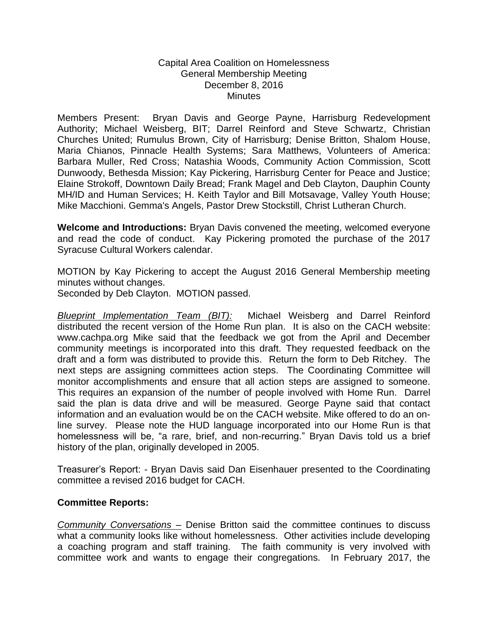## Capital Area Coalition on Homelessness General Membership Meeting December 8, 2016 **Minutes**

Members Present: Bryan Davis and George Payne, Harrisburg Redevelopment Authority; Michael Weisberg, BIT; Darrel Reinford and Steve Schwartz, Christian Churches United; Rumulus Brown, City of Harrisburg; Denise Britton, Shalom House, Maria Chianos, Pinnacle Health Systems; Sara Matthews, Volunteers of America: Barbara Muller, Red Cross; Natashia Woods, Community Action Commission, Scott Dunwoody, Bethesda Mission; Kay Pickering, Harrisburg Center for Peace and Justice; Elaine Strokoff, Downtown Daily Bread; Frank Magel and Deb Clayton, Dauphin County MH/ID and Human Services; H. Keith Taylor and Bill Motsavage, Valley Youth House; Mike Macchioni. Gemma's Angels, Pastor Drew Stockstill, Christ Lutheran Church.

**Welcome and Introductions:** Bryan Davis convened the meeting, welcomed everyone and read the code of conduct. Kay Pickering promoted the purchase of the 2017 Syracuse Cultural Workers calendar.

MOTION by Kay Pickering to accept the August 2016 General Membership meeting minutes without changes.

Seconded by Deb Clayton. MOTION passed.

*Blueprint Implementation Team (BIT):* Michael Weisberg and Darrel Reinford distributed the recent version of the Home Run plan. It is also on the CACH website: www.cachpa.org Mike said that the feedback we got from the April and December community meetings is incorporated into this draft. They requested feedback on the draft and a form was distributed to provide this. Return the form to Deb Ritchey. The next steps are assigning committees action steps. The Coordinating Committee will monitor accomplishments and ensure that all action steps are assigned to someone. This requires an expansion of the number of people involved with Home Run. Darrel said the plan is data drive and will be measured. George Payne said that contact information and an evaluation would be on the CACH website. Mike offered to do an online survey. Please note the HUD language incorporated into our Home Run is that homelessness will be, "a rare, brief, and non-recurring." Bryan Davis told us a brief history of the plan, originally developed in 2005.

Treasurer's Report: - Bryan Davis said Dan Eisenhauer presented to the Coordinating committee a revised 2016 budget for CACH.

## **Committee Reports:**

*Community Conversations –* Denise Britton said the committee continues to discuss what a community looks like without homelessness. Other activities include developing a coaching program and staff training. The faith community is very involved with committee work and wants to engage their congregations. In February 2017, the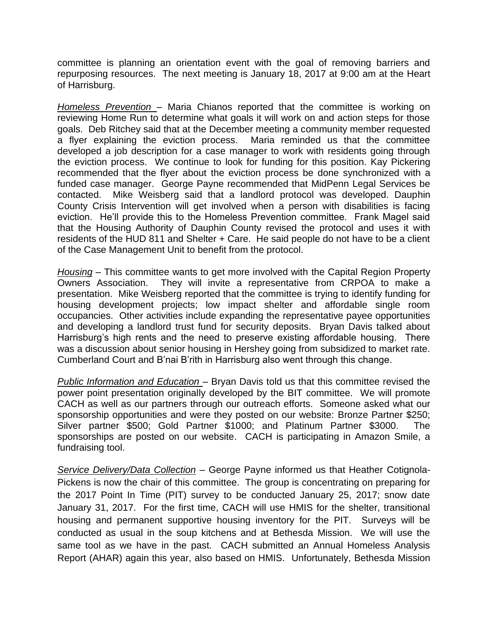committee is planning an orientation event with the goal of removing barriers and repurposing resources. The next meeting is January 18, 2017 at 9:00 am at the Heart of Harrisburg.

*Homeless Prevention –* Maria Chianos reported that the committee is working on reviewing Home Run to determine what goals it will work on and action steps for those goals. Deb Ritchey said that at the December meeting a community member requested a flyer explaining the eviction process. Maria reminded us that the committee developed a job description for a case manager to work with residents going through the eviction process. We continue to look for funding for this position. Kay Pickering recommended that the flyer about the eviction process be done synchronized with a funded case manager. George Payne recommended that MidPenn Legal Services be contacted. Mike Weisberg said that a landlord protocol was developed. Dauphin County Crisis Intervention will get involved when a person with disabilities is facing eviction. He'll provide this to the Homeless Prevention committee. Frank Magel said that the Housing Authority of Dauphin County revised the protocol and uses it with residents of the HUD 811 and Shelter + Care. He said people do not have to be a client of the Case Management Unit to benefit from the protocol.

*Housing* – This committee wants to get more involved with the Capital Region Property Owners Association. They will invite a representative from CRPOA to make a presentation. Mike Weisberg reported that the committee is trying to identify funding for housing development projects; low impact shelter and affordable single room occupancies. Other activities include expanding the representative payee opportunities and developing a landlord trust fund for security deposits. Bryan Davis talked about Harrisburg's high rents and the need to preserve existing affordable housing. There was a discussion about senior housing in Hershey going from subsidized to market rate. Cumberland Court and B'nai B'rith in Harrisburg also went through this change.

*Public Information and Education* – Bryan Davis told us that this committee revised the power point presentation originally developed by the BIT committee. We will promote CACH as well as our partners through our outreach efforts. Someone asked what our sponsorship opportunities and were they posted on our website: Bronze Partner \$250; Silver partner \$500; Gold Partner \$1000; and Platinum Partner \$3000. The sponsorships are posted on our website. CACH is participating in Amazon Smile, a fundraising tool.

*Service Delivery/Data Collection* – George Payne informed us that Heather Cotignola-Pickens is now the chair of this committee. The group is concentrating on preparing for the 2017 Point In Time (PIT) survey to be conducted January 25, 2017; snow date January 31, 2017. For the first time, CACH will use HMIS for the shelter, transitional housing and permanent supportive housing inventory for the PIT. Surveys will be conducted as usual in the soup kitchens and at Bethesda Mission. We will use the same tool as we have in the past. CACH submitted an Annual Homeless Analysis Report (AHAR) again this year, also based on HMIS. Unfortunately, Bethesda Mission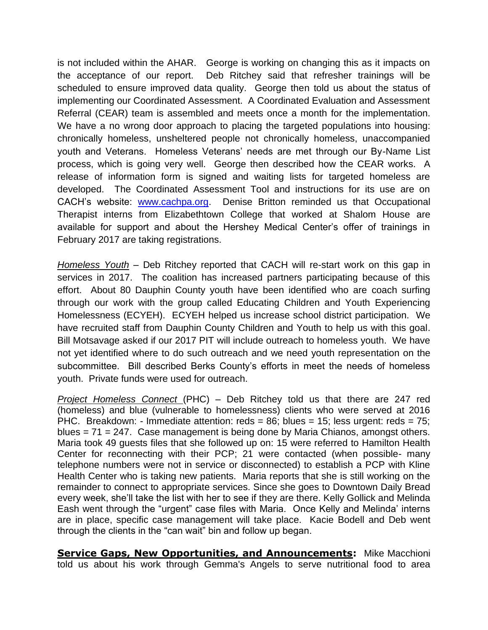is not included within the AHAR. George is working on changing this as it impacts on the acceptance of our report. Deb Ritchey said that refresher trainings will be scheduled to ensure improved data quality. George then told us about the status of implementing our Coordinated Assessment. A Coordinated Evaluation and Assessment Referral (CEAR) team is assembled and meets once a month for the implementation. We have a no wrong door approach to placing the targeted populations into housing: chronically homeless, unsheltered people not chronically homeless, unaccompanied youth and Veterans. Homeless Veterans' needs are met through our By-Name List process, which is going very well. George then described how the CEAR works. A release of information form is signed and waiting lists for targeted homeless are developed. The Coordinated Assessment Tool and instructions for its use are on CACH's website: [www.cachpa.org.](http://www.cachpa.org/) Denise Britton reminded us that Occupational Therapist interns from Elizabethtown College that worked at Shalom House are available for support and about the Hershey Medical Center's offer of trainings in February 2017 are taking registrations.

*Homeless Youth* – Deb Ritchey reported that CACH will re-start work on this gap in services in 2017. The coalition has increased partners participating because of this effort. About 80 Dauphin County youth have been identified who are coach surfing through our work with the group called Educating Children and Youth Experiencing Homelessness (ECYEH). ECYEH helped us increase school district participation. We have recruited staff from Dauphin County Children and Youth to help us with this goal. Bill Motsavage asked if our 2017 PIT will include outreach to homeless youth. We have not yet identified where to do such outreach and we need youth representation on the subcommittee. Bill described Berks County's efforts in meet the needs of homeless youth. Private funds were used for outreach.

*Project Homeless Connect* (PHC) – Deb Ritchey told us that there are 247 red (homeless) and blue (vulnerable to homelessness) clients who were served at 2016 PHC. Breakdown: - Immediate attention: reds = 86; blues = 15; less urgent: reds = 75; blues = 71 = 247. Case management is being done by Maria Chianos, amongst others. Maria took 49 guests files that she followed up on: 15 were referred to Hamilton Health Center for reconnecting with their PCP; 21 were contacted (when possible- many telephone numbers were not in service or disconnected) to establish a PCP with Kline Health Center who is taking new patients. Maria reports that she is still working on the remainder to connect to appropriate services. Since she goes to Downtown Daily Bread every week, she'll take the list with her to see if they are there. Kelly Gollick and Melinda Eash went through the "urgent" case files with Maria. Once Kelly and Melinda' interns are in place, specific case management will take place. Kacie Bodell and Deb went through the clients in the "can wait" bin and follow up began.

**Service Gaps, New Opportunities, and Announcements:** Mike Macchioni told us about his work through Gemma's Angels to serve nutritional food to area